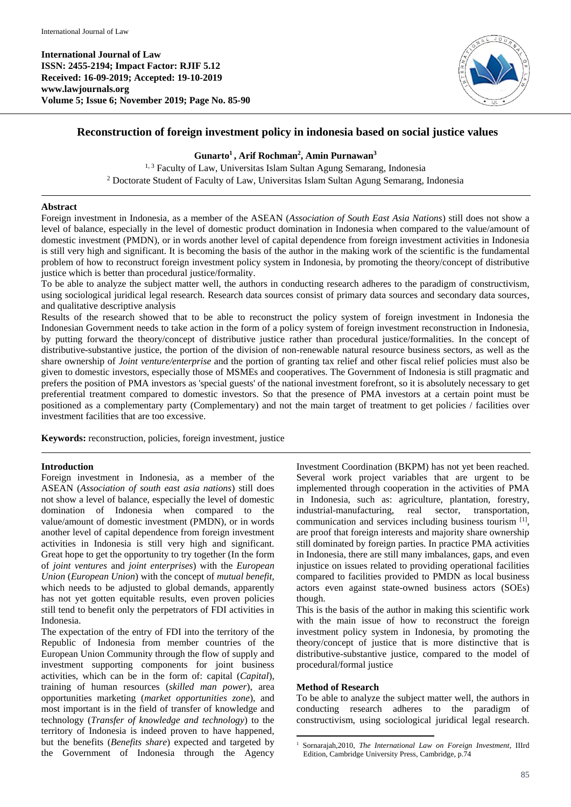**International Journal of Law ISSN: 2455-2194; Impact Factor: RJIF 5.12 Received: 16-09-2019; Accepted: 19-10-2019 www.lawjournals.org Volume 5; Issue 6; November 2019; Page No. 85-90**



# **Reconstruction of foreign investment policy in indonesia based on social justice values**

### **Gunarto<sup>1</sup> , Arif Rochman<sup>2</sup> , Amin Purnawan<sup>3</sup>**

<sup>1, 3</sup> Faculty of Law, Universitas Islam Sultan Agung Semarang, Indonesia <sup>2</sup> Doctorate Student of Faculty of Law, Universitas Islam Sultan Agung Semarang, Indonesia

### **Abstract**

Foreign investment in Indonesia, as a member of the ASEAN (*Association of South East Asia Nations*) still does not show a level of balance, especially in the level of domestic product domination in Indonesia when compared to the value/amount of domestic investment (PMDN), or in words another level of capital dependence from foreign investment activities in Indonesia is still very high and significant. It is becoming the basis of the author in the making work of the scientific is the fundamental problem of how to reconstruct foreign investment policy system in Indonesia, by promoting the theory/concept of distributive justice which is better than procedural justice/formality.

To be able to analyze the subject matter well, the authors in conducting research adheres to the paradigm of constructivism, using sociological juridical legal research. Research data sources consist of primary data sources and secondary data sources, and qualitative descriptive analysis

Results of the research showed that to be able to reconstruct the policy system of foreign investment in Indonesia the Indonesian Government needs to take action in the form of a policy system of foreign investment reconstruction in Indonesia, by putting forward the theory/concept of distributive justice rather than procedural justice/formalities. In the concept of distributive-substantive justice, the portion of the division of non-renewable natural resource business sectors, as well as the share ownership of *Joint venture/enterprise* and the portion of granting tax relief and other fiscal relief policies must also be given to domestic investors, especially those of MSMEs and cooperatives. The Government of Indonesia is still pragmatic and prefers the position of PMA investors as 'special guests' of the national investment forefront, so it is absolutely necessary to get preferential treatment compared to domestic investors. So that the presence of PMA investors at a certain point must be positioned as a complementary party (Complementary) and not the main target of treatment to get policies / facilities over investment facilities that are too excessive.

**Keywords:** reconstruction, policies, foreign investment, justice

### **Introduction**

Foreign investment in Indonesia, as a member of the ASEAN (*Association of south east asia nations*) still does not show a level of balance, especially the level of domestic domination of Indonesia when compared to the value/amount of domestic investment (PMDN), or in words another level of capital dependence from foreign investment activities in Indonesia is still very high and significant. Great hope to get the opportunity to try together (In the form of *joint ventures* and *joint enterprises*) with the *European Union* (*European Union*) with the concept of *mutual benefit,*  which needs to be adjusted to global demands, apparently has not yet gotten equitable results, even proven policies still tend to benefit only the perpetrators of FDI activities in Indonesia.

The expectation of the entry of FDI into the territory of the Republic of Indonesia from member countries of the European Union Community through the flow of supply and investment supporting components for joint business activities, which can be in the form of: capital (*Capital*), training of human resources (*skilled man power*), area opportunities marketing (*market opportunities zone*), and most important is in the field of transfer of knowledge and technology (*Transfer of knowledge and technology*) to the territory of Indonesia is indeed proven to have happened, but the benefits (*Benefits share*) expected and targeted by the Government of Indonesia through the Agency

Investment Coordination (BKPM) has not yet been reached. Several work project variables that are urgent to be implemented through cooperation in the activities of PMA in Indonesia, such as: agriculture, plantation, forestry, industrial-manufacturing, real sector, transportation, communication and services including business tourism [1], are proof that foreign interests and majority share ownership still dominated by foreign parties. In practice PMA activities in Indonesia, there are still many imbalances, gaps, and even injustice on issues related to providing operational facilities compared to facilities provided to PMDN as local business actors even against state-owned business actors (SOEs) though.

This is the basis of the author in making this scientific work with the main issue of how to reconstruct the foreign investment policy system in Indonesia, by promoting the theory/concept of justice that is more distinctive that is distributive-substantive justice, compared to the model of procedural/formal justice

### **Method of Research**

To be able to analyze the subject matter well, the authors in conducting research adheres to the paradigm of constructivism, using sociological juridical legal research.

**<sup>.</sup>** <sup>1</sup> Sornarajah,2010, *The International Law on Foreign Investment*, IIIrd Edition, Cambridge University Press, Cambridge, p.74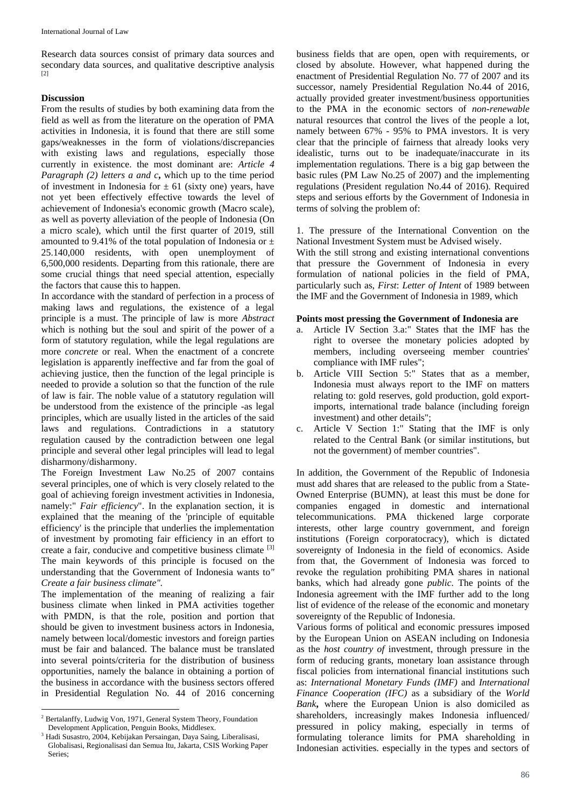Research data sources consist of primary data sources and secondary data sources, and qualitative descriptive analysis [2]

#### **Discussion**

From the results of studies by both examining data from the field as well as from the literature on the operation of PMA activities in Indonesia, it is found that there are still some gaps/weaknesses in the form of violations/discrepancies with existing laws and regulations, especially those currently in existence. the most dominant are: *Article 4 Paragraph (2) letters a and c*, which up to the time period of investment in Indonesia for  $\pm$  61 (sixty one) years, have not yet been effectively effective towards the level of achievement of Indonesia's economic growth (Macro scale), as well as poverty alleviation of the people of Indonesia (On a micro scale), which until the first quarter of 2019, still amounted to 9.41% of the total population of Indonesia or  $\pm$ 25.140,000 residents, with open unemployment of 6,500,000 residents. Departing from this rationale, there are some crucial things that need special attention, especially the factors that cause this to happen.

In accordance with the standard of perfection in a process of making laws and regulations, the existence of a legal principle is a must. The principle of law is more *Abstract* which is nothing but the soul and spirit of the power of a form of statutory regulation, while the legal regulations are more *concrete* or real. When the enactment of a concrete legislation is apparently ineffective and far from the goal of achieving justice, then the function of the legal principle is needed to provide a solution so that the function of the rule of law is fair. The noble value of a statutory regulation will be understood from the existence of the principle -as legal principles, which are usually listed in the articles of the said laws and regulations. Contradictions in a statutory regulation caused by the contradiction between one legal principle and several other legal principles will lead to legal disharmony/disharmony.

The Foreign Investment Law No.25 of 2007 contains several principles, one of which is very closely related to the goal of achieving foreign investment activities in Indonesia, namely:" *Fair efficiency*". In the explanation section, it is explained that the meaning of the 'principle of equitable efficiency' is the principle that underlies the implementation of investment by promoting fair efficiency in an effort to create a fair, conducive and competitive business climate [3] The main keywords of this principle is focused on the understanding that the Government of Indonesia wants to*" Create a fair business climate".*

The implementation of the meaning of realizing a fair business climate when linked in PMA activities together with PMDN, is that the role, position and portion that should be given to investment business actors in Indonesia, namely between local/domestic investors and foreign parties must be fair and balanced. The balance must be translated into several points/criteria for the distribution of business opportunities, namely the balance in obtaining a portion of the business in accordance with the business sectors offered in Presidential Regulation No. 44 of 2016 concerning

business fields that are open, open with requirements, or closed by absolute. However, what happened during the enactment of Presidential Regulation No. 77 of 2007 and its successor, namely Presidential Regulation No.44 of 2016, actually provided greater investment/business opportunities to the PMA in the economic sectors of *non-renewable*  natural resources that control the lives of the people a lot, namely between 67% - 95% to PMA investors. It is very clear that the principle of fairness that already looks very idealistic, turns out to be inadequate/inaccurate in its implementation regulations. There is a big gap between the basic rules (PM Law No.25 of 2007) and the implementing regulations (President regulation No.44 of 2016). Required steps and serious efforts by the Government of Indonesia in terms of solving the problem of:

1. The pressure of the International Convention on the National Investment System must be Advised wisely.

With the still strong and existing international conventions that pressure the Government of Indonesia in every formulation of national policies in the field of PMA, particularly such as, *First*: *Letter of Intent* of 1989 between the IMF and the Government of Indonesia in 1989, which

# **Points most pressing the Government of Indonesia are**

- a. Article IV Section 3.a:" States that the IMF has the right to oversee the monetary policies adopted by members, including overseeing member countries' compliance with IMF rules";
- b. Article VIII Section 5:" States that as a member, Indonesia must always report to the IMF on matters relating to: gold reserves, gold production, gold exportimports, international trade balance (including foreign investment) and other details";
- c. Article V Section 1:" Stating that the IMF is only related to the Central Bank (or similar institutions, but not the government) of member countries".

In addition, the Government of the Republic of Indonesia must add shares that are released to the public from a State-Owned Enterprise (BUMN), at least this must be done for companies engaged in domestic and international telecommunications. PMA thickened large corporate interests, other large country government, and foreign institutions (Foreign corporatocracy), which is dictated sovereignty of Indonesia in the field of economics. Aside from that, the Government of Indonesia was forced to revoke the regulation prohibiting PMA shares in national banks, which had already gone *public*. The points of the Indonesia agreement with the IMF further add to the long list of evidence of the release of the economic and monetary sovereignty of the Republic of Indonesia.

Various forms of political and economic pressures imposed by the European Union on ASEAN including on Indonesia as the *host country of* investment, through pressure in the form of reducing grants, monetary loan assistance through fiscal policies from international financial institutions such as: *International Monetary Funds (IMF)* and *International Finance Cooperation (IFC)* as a subsidiary of the *World Bank***,** where the European Union is also domiciled as shareholders, increasingly makes Indonesia influenced/ pressured in policy making, especially in terms of formulating tolerance limits for PMA shareholding in Indonesian activities. especially in the types and sectors of

 $\overline{a}$ <sup>2</sup> Bertalanffy, Ludwig Von, 1971, General System Theory, Foundation Development Application, Penguin Books, Middlesex.

<sup>&</sup>lt;sup>3</sup> Hadi Susastro, 2004, Kebijakan Persaingan, Daya Saing, Liberalisasi, Globalisasi, Regionalisasi dan Semua Itu, Jakarta, CSIS Working Paper Series;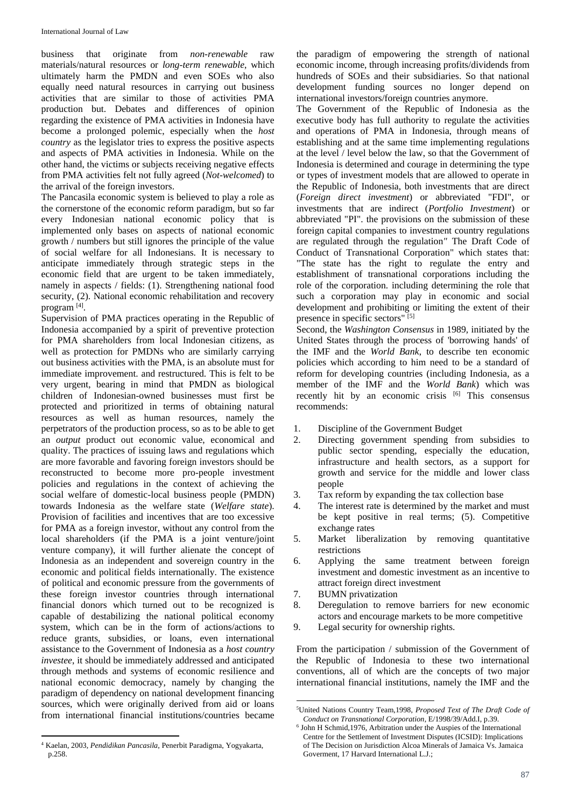business that originate from *non-renewable* raw materials/natural resources or *long-term renewable*, which ultimately harm the PMDN and even SOEs who also equally need natural resources in carrying out business activities that are similar to those of activities PMA production but. Debates and differences of opinion regarding the existence of PMA activities in Indonesia have become a prolonged polemic, especially when the *host country* as the legislator tries to express the positive aspects and aspects of PMA activities in Indonesia. While on the other hand, the victims or subjects receiving negative effects from PMA activities felt not fully agreed (*Not-welcomed*) to the arrival of the foreign investors.

The Pancasila economic system is believed to play a role as the cornerstone of the economic reform paradigm, but so far every Indonesian national economic policy that is implemented only bases on aspects of national economic growth / numbers but still ignores the principle of the value of social welfare for all Indonesians. It is necessary to anticipate immediately through strategic steps in the economic field that are urgent to be taken immediately, namely in aspects / fields: (1). Strengthening national food security, (2). National economic rehabilitation and recovery program [4] .

Supervision of PMA practices operating in the Republic of Indonesia accompanied by a spirit of preventive protection for PMA shareholders from local Indonesian citizens, as well as protection for PMDNs who are similarly carrying out business activities with the PMA, is an absolute must for immediate improvement. and restructured. This is felt to be very urgent, bearing in mind that PMDN as biological children of Indonesian-owned businesses must first be protected and prioritized in terms of obtaining natural resources as well as human resources, namely the perpetrators of the production process, so as to be able to get an *output* product out economic value, economical and quality. The practices of issuing laws and regulations which are more favorable and favoring foreign investors should be reconstructed to become more pro-people investment policies and regulations in the context of achieving the social welfare of domestic-local business people (PMDN) towards Indonesia as the welfare state (*Welfare state*). Provision of facilities and incentives that are too excessive for PMA as a foreign investor, without any control from the local shareholders (if the PMA is a joint venture/joint venture company), it will further alienate the concept of Indonesia as an independent and sovereign country in the economic and political fields internationally. The existence of political and economic pressure from the governments of these foreign investor countries through international financial donors which turned out to be recognized is capable of destabilizing the national political economy system, which can be in the form of actions/actions to reduce grants, subsidies, or loans, even international assistance to the Government of Indonesia as a *host country investee*, it should be immediately addressed and anticipated through methods and systems of economic resilience and national economic democracy, namely by changing the paradigm of dependency on national development financing sources, which were originally derived from aid or loans from international financial institutions/countries became

the paradigm of empowering the strength of national economic income, through increasing profits/dividends from hundreds of SOEs and their subsidiaries. So that national development funding sources no longer depend on international investors/foreign countries anymore.

The Government of the Republic of Indonesia as the executive body has full authority to regulate the activities and operations of PMA in Indonesia, through means of establishing and at the same time implementing regulations at the level / level below the law, so that the Government of Indonesia is determined and courage in determining the type or types of investment models that are allowed to operate in the Republic of Indonesia, both investments that are direct (*Foreign direct investment*) or abbreviated "FDI", or investments that are indirect (*Portfolio Investment*) or abbreviated "PI". the provisions on the submission of these foreign capital companies to investment country regulations are regulated through the regulation*"* The Draft Code of Conduct of Transnational Corporation" which states that: "The state has the right to regulate the entry and establishment of transnational corporations including the role of the corporation. including determining the role that such a corporation may play in economic and social development and prohibiting or limiting the extent of their presence in specific sectors" [5]

Second, the *Washington Consensus* in 1989*,* initiated by the United States through the process of 'borrowing hands' of the IMF and the *World Bank*, to describe ten economic policies which according to him need to be a standard of reform for developing countries (including Indonesia, as a member of the IMF and the *World Bank*) which was recently hit by an economic crisis [6] This consensus recommends:

- 1. Discipline of the Government Budget
- 2. Directing government spending from subsidies to public sector spending, especially the education, infrastructure and health sectors, as a support for growth and service for the middle and lower class people
- 3. Tax reform by expanding the tax collection base
- 4. The interest rate is determined by the market and must be kept positive in real terms; (5). Competitive exchange rates
- 5. Market liberalization by removing quantitative restrictions
- 6. Applying the same treatment between foreign investment and domestic investment as an incentive to attract foreign direct investment
- 7. BUMN privatization
- 8. Deregulation to remove barriers for new economic actors and encourage markets to be more competitive
- 9. Legal security for ownership rights.

From the participation / submission of the Government of the Republic of Indonesia to these two international conventions, all of which are the concepts of two major international financial institutions, namely the IMF and the

 $\overline{a}$ <sup>4</sup> Kaelan, 2003, *Pendidikan Pancasila*, Penerbit Paradigma, Yogyakarta, p.258.

**<sup>.</sup>** <sup>5</sup>United Nations Country Team,1998, *Proposed Text of The Draft Code of Conduct on Transnational Corporation*, E/1998/39/Add.I, p.39.

<sup>6</sup> John H Schmid,1976, Arbitration under the Auspies of the International Centre for the Settlement of Investment Disputes (ICSID): Implications of The Decision on Jurisdiction Alcoa Minerals of Jamaica Vs. Jamaica Goverment, 17 Harvard International L.J.;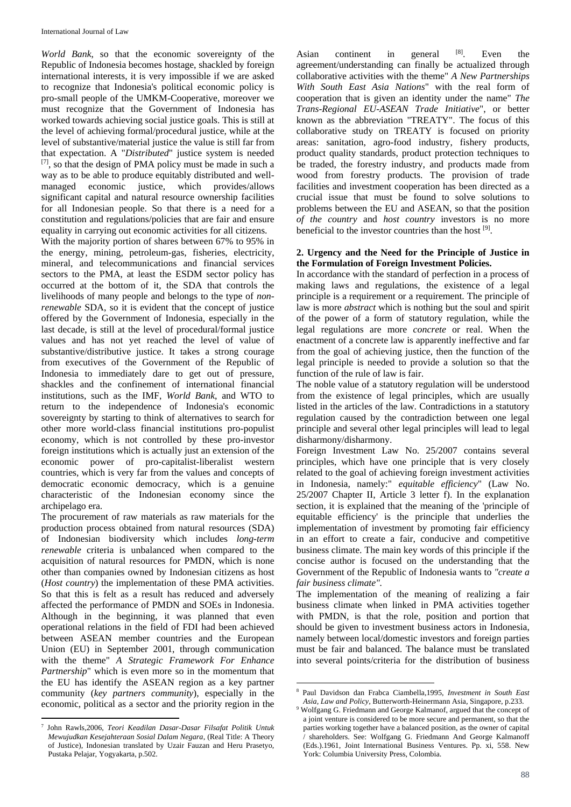*World Bank*, so that the economic sovereignty of the Republic of Indonesia becomes hostage, shackled by foreign international interests, it is very impossible if we are asked to recognize that Indonesia's political economic policy is pro-small people of the UMKM-Cooperative, moreover we must recognize that the Government of Indonesia has worked towards achieving social justice goals. This is still at the level of achieving formal/procedural justice, while at the level of substantive/material justice the value is still far from that expectation. A "*Distributed*" justice system is needed [7], so that the design of PMA policy must be made in such a way as to be able to produce equitably distributed and wellmanaged economic justice, which provides/allows significant capital and natural resource ownership facilities for all Indonesian people. So that there is a need for a constitution and regulations/policies that are fair and ensure equality in carrying out economic activities for all citizens.

With the majority portion of shares between 67% to 95% in the energy, mining, petroleum-gas, fisheries, electricity, mineral, and telecommunications and financial services sectors to the PMA, at least the ESDM sector policy has occurred at the bottom of it, the SDA that controls the livelihoods of many people and belongs to the type of *nonrenewable* SDA, so it is evident that the concept of justice offered by the Government of Indonesia, especially in the last decade, is still at the level of procedural/formal justice values and has not yet reached the level of value of substantive/distributive justice. It takes a strong courage from executives of the Government of the Republic of Indonesia to immediately dare to get out of pressure, shackles and the confinement of international financial institutions, such as the IMF, *World Bank*, and WTO to return to the independence of Indonesia's economic sovereignty by starting to think of alternatives to search for other more world-class financial institutions pro-populist economy, which is not controlled by these pro-investor foreign institutions which is actually just an extension of the economic power of pro-capitalist-liberalist western countries, which is very far from the values and concepts of democratic economic democracy, which is a genuine characteristic of the Indonesian economy since the archipelago era.

The procurement of raw materials as raw materials for the production process obtained from natural resources (SDA) of Indonesian biodiversity which includes *long-term renewable* criteria is unbalanced when compared to the acquisition of natural resources for PMDN, which is none other than companies owned by Indonesian citizens as host (*Host country*) the implementation of these PMA activities. So that this is felt as a result has reduced and adversely affected the performance of PMDN and SOEs in Indonesia. Although in the beginning, it was planned that even operational relations in the field of FDI had been achieved between ASEAN member countries and the European Union (EU) in September 2001, through communication with the theme" *A Strategic Framework For Enhance Partnership*" which is even more so in the momentum that the EU has identify the ASEAN region as a key partner community (*key partners community*), especially in the economic, political as a sector and the priority region in the

Asian continent in general [8]. Even the agreement/understanding can finally be actualized through collaborative activities with the theme" *A New Partnerships With South East Asia Nations*" with the real form of cooperation that is given an identity under the name" *The Trans-Regional EU-ASEAN Trade Initiative*", or better known as the abbreviation "TREATY". The focus of this collaborative study on TREATY is focused on priority areas: sanitation, agro-food industry, fishery products, product quality standards, product protection techniques to be traded, the forestry industry, and products made from wood from forestry products. The provision of trade facilities and investment cooperation has been directed as a crucial issue that must be found to solve solutions to problems between the EU and ASEAN, so that the position *of the country* and *host country* investors is no more beneficial to the investor countries than the host [9].

### **2. Urgency and the Need for the Principle of Justice in the Formulation of Foreign Investment Policies.**

In accordance with the standard of perfection in a process of making laws and regulations, the existence of a legal principle is a requirement or a requirement. The principle of law is more *abstract* which is nothing but the soul and spirit of the power of a form of statutory regulation, while the legal regulations are more *concrete* or real. When the enactment of a concrete law is apparently ineffective and far from the goal of achieving justice, then the function of the legal principle is needed to provide a solution so that the function of the rule of law is fair.

The noble value of a statutory regulation will be understood from the existence of legal principles, which are usually listed in the articles of the law. Contradictions in a statutory regulation caused by the contradiction between one legal principle and several other legal principles will lead to legal disharmony/disharmony.

Foreign Investment Law No. 25/2007 contains several principles, which have one principle that is very closely related to the goal of achieving foreign investment activities in Indonesia, namely:" *equitable efficiency*" (Law No. 25/2007 Chapter II, Article 3 letter f). In the explanation section, it is explained that the meaning of the 'principle of equitable efficiency' is the principle that underlies the implementation of investment by promoting fair efficiency in an effort to create a fair, conducive and competitive business climate. The main key words of this principle if the concise author is focused on the understanding that the Government of the Republic of Indonesia wants to *"create a fair business climate".*

The implementation of the meaning of realizing a fair business climate when linked in PMA activities together with PMDN, is that the role, position and portion that should be given to investment business actors in Indonesia, namely between local/domestic investors and foreign parties must be fair and balanced. The balance must be translated into several points/criteria for the distribution of business

 $\overline{a}$ 7 John Rawls,2006, *Teori Keadilan Dasar-Dasar Filsafat Politik Untuk Mewujudkan Kesejahteraan Sosial Dalam Negara*, (Real Title: A Theory of Justice), Indonesian translated by Uzair Fauzan and Heru Prasetyo, Pustaka Pelajar, Yogyakarta, p.502.

**<sup>.</sup>** <sup>8</sup> Paul Davidson dan Frabca Ciambella,1995, *Investment in South East Asia, Law and Policy*, Butterworth-Heinermann Asia, Singapore, p.233.

<sup>9</sup> Wolfgang G. Friedmann and George Kalmanof, argued that the concept of a joint venture is considered to be more secure and permanent, so that the parties working together have a balanced position, as the owner of capital / shareholders. See: Wolfgang G. Friedmann And George Kalmanoff (Eds.).1961, Joint International Business Ventures. Pp. xi, 558. New York: Columbia University Press, Colombia.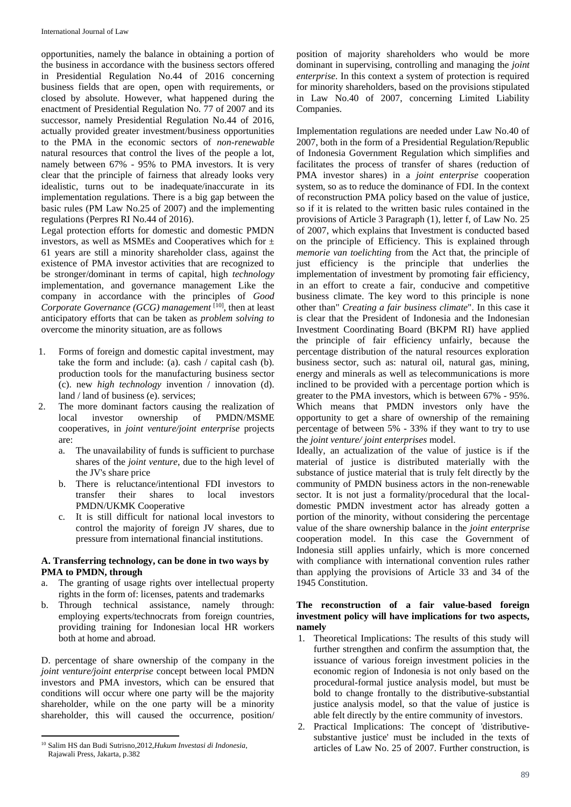opportunities, namely the balance in obtaining a portion of the business in accordance with the business sectors offered in Presidential Regulation No.44 of 2016 concerning business fields that are open, open with requirements, or closed by absolute. However, what happened during the enactment of Presidential Regulation No. 77 of 2007 and its successor, namely Presidential Regulation No.44 of 2016, actually provided greater investment/business opportunities to the PMA in the economic sectors of *non-renewable*  natural resources that control the lives of the people a lot, namely between 67% - 95% to PMA investors. It is very clear that the principle of fairness that already looks very idealistic, turns out to be inadequate/inaccurate in its implementation regulations. There is a big gap between the basic rules (PM Law No.25 of 2007) and the implementing regulations (Perpres RI No.44 of 2016).

Legal protection efforts for domestic and domestic PMDN investors, as well as MSMEs and Cooperatives which for ± 61 years are still a minority shareholder class, against the existence of PMA investor activities that are recognized to be stronger/dominant in terms of capital, high *technology*  implementation, and governance management Like the company in accordance with the principles of *Good*  Corporate Governance (GCG) management<sup>[10]</sup>, then at least anticipatory efforts that can be taken as *problem solving to*  overcome the minority situation, are as follows

- 1. Forms of foreign and domestic capital investment, may take the form and include: (a). cash / capital cash (b). production tools for the manufacturing business sector (c). new *high technology* invention / innovation (d). land / land of business (e). services;
- 2. The more dominant factors causing the realization of local investor ownership of PMDN/MSME cooperatives, in *joint venture/joint enterprise* projects are:
	- a. The unavailability of funds is sufficient to purchase shares of the *joint venture*, due to the high level of the JV's share price
	- b. There is reluctance/intentional FDI investors to transfer their shares to local investors PMDN/UKMK Cooperative
	- c. It is still difficult for national local investors to control the majority of foreign JV shares, due to pressure from international financial institutions.

# **A. Transferring technology, can be done in two ways by PMA to PMDN, through**

- The granting of usage rights over intellectual property rights in the form of: licenses, patents and trademarks
- b. Through technical assistance, namely through: employing experts/technocrats from foreign countries, providing training for Indonesian local HR workers both at home and abroad.

D. percentage of share ownership of the company in the *joint venture/joint enterprise* concept between local PMDN investors and PMA investors, which can be ensured that conditions will occur where one party will be the majority shareholder, while on the one party will be a minority shareholder, this will caused the occurrence, position/ position of majority shareholders who would be more dominant in supervising, controlling and managing the *joint enterprise*. In this context a system of protection is required for minority shareholders, based on the provisions stipulated in Law No.40 of 2007, concerning Limited Liability Companies.

Implementation regulations are needed under Law No.40 of 2007, both in the form of a Presidential Regulation/Republic of Indonesia Government Regulation which simplifies and facilitates the process of transfer of shares (reduction of PMA investor shares) in a *joint enterprise* cooperation system, so as to reduce the dominance of FDI. In the context of reconstruction PMA policy based on the value of justice, so if it is related to the written basic rules contained in the provisions of Article 3 Paragraph (1), letter f, of Law No. 25 of 2007, which explains that Investment is conducted based on the principle of Efficiency. This is explained through *memorie van toelichting* from the Act that, the principle of just efficiency is the principle that underlies the implementation of investment by promoting fair efficiency, in an effort to create a fair, conducive and competitive business climate. The key word to this principle is none other than" *Creating a fair business climate*". In this case it is clear that the President of Indonesia and the Indonesian Investment Coordinating Board (BKPM RI) have applied the principle of fair efficiency unfairly, because the percentage distribution of the natural resources exploration business sector, such as: natural oil, natural gas, mining, energy and minerals as well as telecommunications is more inclined to be provided with a percentage portion which is greater to the PMA investors, which is between 67% - 95%. Which means that PMDN investors only have the opportunity to get a share of ownership of the remaining percentage of between 5% - 33% if they want to try to use the *joint venture/ joint enterprises* model.

Ideally, an actualization of the value of justice is if the material of justice is distributed materially with the substance of justice material that is truly felt directly by the community of PMDN business actors in the non-renewable sector. It is not just a formality/procedural that the localdomestic PMDN investment actor has already gotten a portion of the minority, without considering the percentage value of the share ownership balance in the *joint enterprise*  cooperation model. In this case the Government of Indonesia still applies unfairly, which is more concerned with compliance with international convention rules rather than applying the provisions of Article 33 and 34 of the 1945 Constitution.

## **The reconstruction of a fair value-based foreign investment policy will have implications for two aspects, namely**

- 1. Theoretical Implications: The results of this study will further strengthen and confirm the assumption that, the issuance of various foreign investment policies in the economic region of Indonesia is not only based on the procedural-formal justice analysis model, but must be bold to change frontally to the distributive-substantial justice analysis model, so that the value of justice is able felt directly by the entire community of investors.
- 2. Practical Implications: The concept of 'distributivesubstantive justice' must be included in the texts of articles of Law No. 25 of 2007. Further construction, is

 $\overline{a}$ <sup>10</sup> Salim HS dan Budi Sutrisno,2012,*Hukum Investasi di Indonesia*, Rajawali Press, Jakarta, p.382